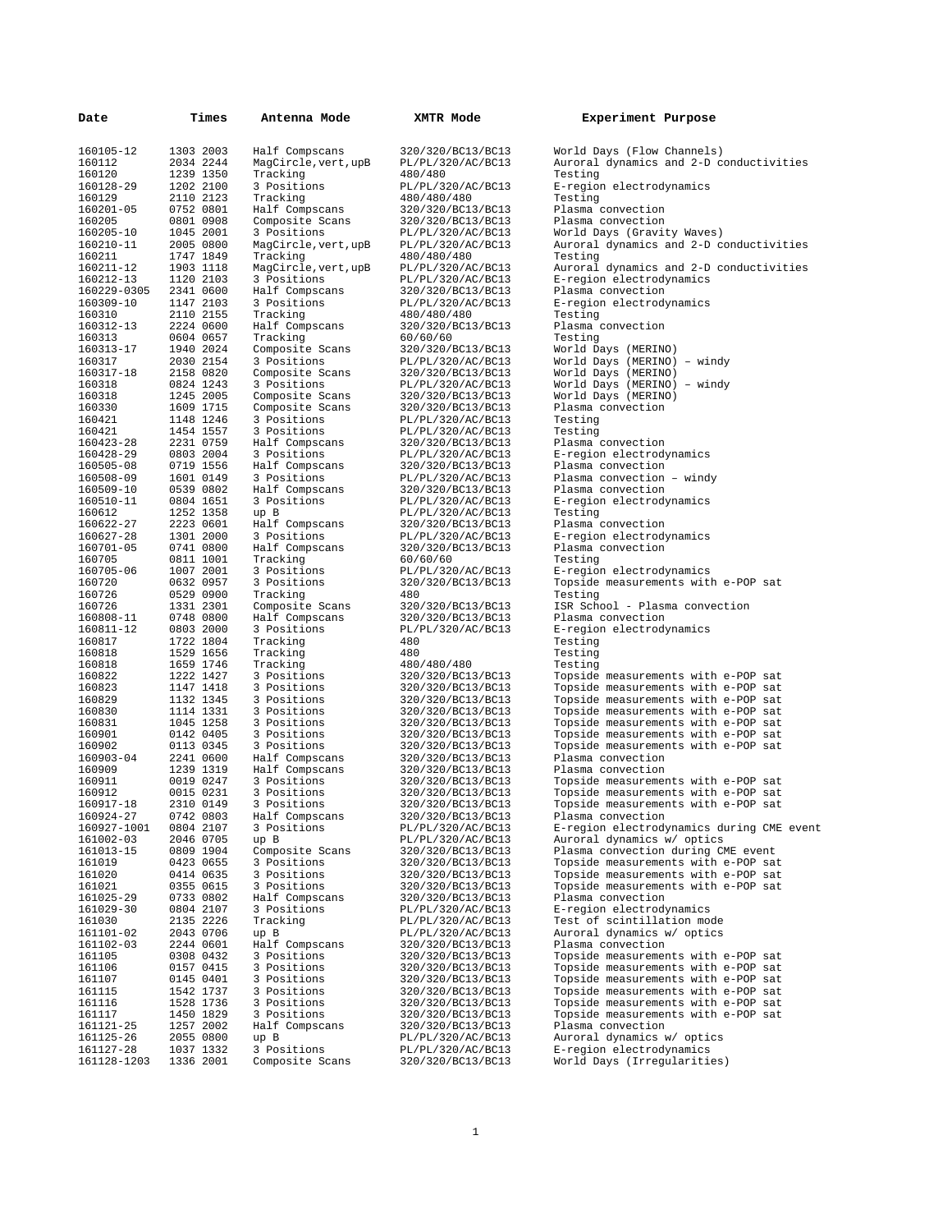| Date                     | Times                  | Antenna Mode                      | XMTR Mode                              | Experiment Purpose                                                         |
|--------------------------|------------------------|-----------------------------------|----------------------------------------|----------------------------------------------------------------------------|
| 160105-12                | 1303 2003              | Half Compscans                    | 320/320/BC13/BC13                      | World Days (Flow Channels)                                                 |
| 160112                   | 2034 2244              | MagCircle, vert, upB              | PL/PL/320/AC/BC13                      | Auroral dynamics and 2-D conductivities                                    |
| 160120                   | 1239 1350              | Tracking                          | 480/480                                | Testing                                                                    |
| 160128-29                | 1202 2100              | 3 Positions                       | PL/PL/320/AC/BC13                      | E-region electrodynamics                                                   |
| 160129<br>160201-05      | 2110 2123              | Tracking                          | 480/480/480                            | Testing                                                                    |
| 160205                   | 0752 0801<br>0801 0908 | Half Compscans<br>Composite Scans | 320/320/BC13/BC13<br>320/320/BC13/BC13 | Plasma convection<br>Plasma convection                                     |
| 160205-10                | 1045 2001              | 3 Positions                       | PL/PL/320/AC/BC13                      | World Days (Gravity Waves)                                                 |
| 160210-11                | 2005 0800              | MagCircle, vert, upB              | PL/PL/320/AC/BC13                      | Auroral dynamics and 2-D conductivities                                    |
| 160211                   | 1747 1849              | Tracking                          | 480/480/480                            | Testing                                                                    |
| 160211-12                | 1903 1118              | MagCircle, vert, upB              | PL/PL/320/AC/BC13                      | Auroral dynamics and 2-D conductivities                                    |
| 160212-13                | 1120 2103<br>2341 0600 | 3 Positions                       | PL/PL/320/AC/BC13                      | E-region electrodynamics<br>Plasma convection                              |
| 160229-0305<br>160309-10 | 1147 2103              | Half Compscans<br>3 Positions     | 320/320/BC13/BC13<br>PL/PL/320/AC/BC13 | E-region electrodynamics                                                   |
| 160310                   | 2110 2155              | Tracking                          | 480/480/480                            | Testing                                                                    |
| 160312-13                | 2224 0600              | Half Compscans                    | 320/320/BC13/BC13                      | Plasma convection                                                          |
| 160313                   | 0604 0657              | Tracking                          | 60/60/60                               | Testing                                                                    |
| 160313-17                | 1940 2024              | Composite Scans                   | 320/320/BC13/BC13                      | World Days (MERINO)                                                        |
| 160317<br>160317-18      | 2030 2154<br>2158 0820 | 3 Positions<br>Composite Scans    | PL/PL/320/AC/BC13<br>320/320/BC13/BC13 | World Days (MERINO) - windy<br>World Days (MERINO)                         |
| 160318                   | 0824 1243              | 3 Positions                       | PL/PL/320/AC/BC13                      | World Days (MERINO) - windy                                                |
| 160318                   | 1245 2005              | Composite Scans                   | 320/320/BC13/BC13                      | World Days (MERINO)                                                        |
| 160330                   | 1609 1715              | Composite Scans                   | 320/320/BC13/BC13                      | Plasma convection                                                          |
| 160421                   | 1148 1246              | 3 Positions                       | PL/PL/320/AC/BC13                      | Testing                                                                    |
| 160421                   | 1454 1557              | 3 Positions                       | PL/PL/320/AC/BC13                      | Testing                                                                    |
| 160423-28<br>160428-29   | 2231 0759<br>0803 2004 | Half Compscans<br>3 Positions     | 320/320/BC13/BC13<br>PL/PL/320/AC/BC13 | Plasma convection                                                          |
| 160505-08                | 0719 1556              | Half Compscans                    | 320/320/BC13/BC13                      | E-region electrodynamics<br>Plasma convection                              |
| 160508-09                | 1601 0149              | 3 Positions                       | PL/PL/320/AC/BC13                      | Plasma convection - windy                                                  |
| 160509-10                | 0539 0802              | Half Compscans                    | 320/320/BC13/BC13                      | Plasma convection                                                          |
| 160510-11                | 0804 1651              | 3 Positions                       | PL/PL/320/AC/BC13                      | E-region electrodynamics                                                   |
| 160612                   | 1252 1358              | up B                              | PL/PL/320/AC/BC13                      | Testing                                                                    |
| 160622-27                | 2223 0601<br>1301 2000 | Half Compscans<br>3 Positions     | 320/320/BC13/BC13<br>PL/PL/320/AC/BC13 | Plasma convection<br>E-region electrodynamics                              |
| 160627-28<br>160701-05   | 0741 0800              | Half Compscans                    | 320/320/BC13/BC13                      | Plasma convection                                                          |
| 160705                   | 0811 1001              | Tracking                          | 60/60/60                               | Testing                                                                    |
| 160705-06                | 1007 2001              | 3 Positions                       | PL/PL/320/AC/BC13                      | E-region electrodynamics                                                   |
| 160720                   | 0632 0957              | 3 Positions                       | 320/320/BC13/BC13                      | Topside measurements with e-POP sat                                        |
| 160726                   | 0529 0900              | Tracking                          | 480                                    | Testing                                                                    |
| 160726<br>160808-11      | 1331 2301<br>0748 0800 | Composite Scans<br>Half Compscans | 320/320/BC13/BC13<br>320/320/BC13/BC13 | ISR School - Plasma convection<br>Plasma convection                        |
| 160811-12                | 0803 2000              | 3 Positions                       | PL/PL/320/AC/BC13                      | E-region electrodynamics                                                   |
| 160817                   | 1722 1804              | Tracking                          | 480                                    | Testing                                                                    |
| 160818                   | 1529 1656              | Tracking                          | 480                                    | Testing                                                                    |
| 160818                   | 1659 1746              | Tracking                          | 480/480/480                            | Testing                                                                    |
| 160822                   | 1222 1427              | 3 Positions                       | 320/320/BC13/BC13                      | Topside measurements with e-POP sat                                        |
| 160823<br>160829         | 1147 1418<br>1132 1345 | 3 Positions<br>3 Positions        | 320/320/BC13/BC13<br>320/320/BC13/BC13 | Topside measurements with e-POP sat<br>Topside measurements with e-POP sat |
| 160830                   | 1114 1331              | 3 Positions                       | 320/320/BC13/BC13                      | Topside measurements with e-POP sat                                        |
| 160831                   | 1045 1258              | 3 Positions                       | 320/320/BC13/BC13                      | Topside measurements with e-POP sat                                        |
| 160901                   | 0142 0405              | 3 Positions                       | 320/320/BC13/BC13                      | Topside measurements with e-POP sat                                        |
| 160902                   | 0113 0345              | 3 Positions                       | 320/320/BC13/BC13                      | Topside measurements with e-POP sat                                        |
| 160903-04<br>160909      | 2241 0600<br>1239 1319 | Half Compscans                    | 320/320/BC13/BC13                      | Plasma convection<br>Plasma convection                                     |
| 160911                   | 0019 0247              | Half Compscans<br>3 Positions     | 320/320/BC13/BC13<br>320/320/BC13/BC13 | Topside measurements with e-POP sat                                        |
| 160912                   | 0015 0231              | 3 Positions                       | 320/320/BC13/BC13                      | Topside measurements with e-POP sat                                        |
| 160917-18                | 2310 0149              | 3 Positions                       | 320/320/BC13/BC13                      | Topside measurements with e-POP sat                                        |
| 160924-27                | 0742 0803              | Half Compscans                    | 320/320/BC13/BC13                      | Plasma convection                                                          |
| 160927-1001              | 0804 2107              | 3 Positions                       | PL/PL/320/AC/BC13                      | E-region electrodynamics during CME event                                  |
| 161002-03<br>161013-15   | 2046 0705<br>0809 1904 | up B<br>Composite Scans           | PL/PL/320/AC/BC13<br>320/320/BC13/BC13 | Auroral dynamics w/ optics<br>Plasma convection during CME event           |
| 161019                   | 0423 0655              | 3 Positions                       | 320/320/BC13/BC13                      | Topside measurements with e-POP sat                                        |
| 161020                   | 0414 0635              | 3 Positions                       | 320/320/BC13/BC13                      | Topside measurements with e-POP sat                                        |
| 161021                   | 0355 0615              | 3 Positions                       | 320/320/BC13/BC13                      | Topside measurements with e-POP sat                                        |
| 161025-29                | 0733 0802              | Half Compscans                    | 320/320/BC13/BC13                      | Plasma convection                                                          |
| 161029-30<br>161030      | 0804 2107<br>2135 2226 | 3 Positions<br>Tracking           | PL/PL/320/AC/BC13                      | E-region electrodynamics<br>Test of scintillation mode                     |
| 161101-02                | 2043 0706              | up B                              | PL/PL/320/AC/BC13<br>PL/PL/320/AC/BC13 | Auroral dynamics w/ optics                                                 |
| 161102-03                | 2244 0601              | Half Compscans                    | 320/320/BC13/BC13                      | Plasma convection                                                          |
| 161105                   | 0308 0432              | 3 Positions                       | 320/320/BC13/BC13                      | Topside measurements with e-POP sat                                        |
| 161106                   | 0157 0415              | 3 Positions                       | 320/320/BC13/BC13                      | Topside measurements with e-POP sat                                        |
| 161107                   | 0145 0401              | 3 Positions                       | 320/320/BC13/BC13                      | Topside measurements with e-POP sat                                        |
| 161115                   | 1542 1737              | 3 Positions                       | 320/320/BC13/BC13<br>320/320/BC13/BC13 | Topside measurements with e-POP sat<br>Topside measurements with e-POP sat |
| 161116<br>161117         | 1528 1736<br>1450 1829 | 3 Positions<br>3 Positions        | 320/320/BC13/BC13                      | Topside measurements with e-POP sat                                        |
| 161121-25                | 1257 2002              | Half Compscans                    | 320/320/BC13/BC13                      | Plasma convection                                                          |
| 161125-26                | 2055 0800              | up B                              | PL/PL/320/AC/BC13                      | Auroral dynamics w/ optics                                                 |
| 161127-28                | 1037 1332              | 3 Positions                       | PL/PL/320/AC/BC13                      | E-region electrodynamics                                                   |
| 161128-1203              | 1336 2001              | Composite Scans                   | 320/320/BC13/BC13                      | World Days (Irregularities)                                                |